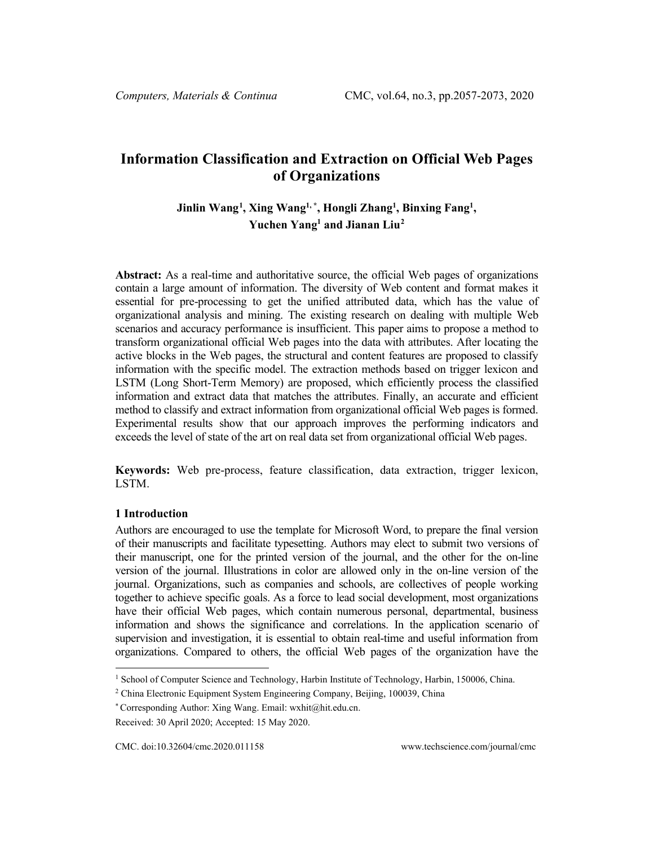# **Information Classification and Extraction on Official Web Pages of Organizations**

# **Jinlin Wang[1](#page-0-0) , Xing Wang1, \*, Hongli Zhang1 , Binxing Fang1 , Yuchen Yang1 and Jianan Liu[2](#page-0-1)**

**Abstract:** As a real-time and authoritative source, the official Web pages of organizations contain a large amount of information. The diversity of Web content and format makes it essential for pre-processing to get the unified attributed data, which has the value of organizational analysis and mining. The existing research on dealing with multiple Web scenarios and accuracy performance is insufficient. This paper aims to propose a method to transform organizational official Web pages into the data with attributes. After locating the active blocks in the Web pages, the structural and content features are proposed to classify information with the specific model. The extraction methods based on trigger lexicon and LSTM (Long Short-Term Memory) are proposed, which efficiently process the classified information and extract data that matches the attributes. Finally, an accurate and efficient method to classify and extract information from organizational official Web pages is formed. Experimental results show that our approach improves the performing indicators and exceeds the level of state of the art on real data set from organizational official Web pages.

**Keywords:** Web pre-process, feature classification, data extraction, trigger lexicon, LSTM.

### **1 Introduction**

Authors are encouraged to use the template for Microsoft Word, to prepare the final version of their manuscripts and facilitate typesetting. Authors may elect to submit two versions of their manuscript, one for the printed version of the journal, and the other for the on-line version of the journal. Illustrations in color are allowed only in the on-line version of the journal. Organizations, such as companies and schools, are collectives of people working together to achieve specific goals. As a force to lead social development, most organizations have their official Web pages, which contain numerous personal, departmental, business information and shows the significance and correlations. In the application scenario of supervision and investigation, it is essential to obtain real-time and useful information from organizations. Compared to others, the official Web pages of the organization have the

<span id="page-0-0"></span><sup>&</sup>lt;sup>1</sup> School of Computer Science and Technology, Harbin Institute of Technology, Harbin, 150006, China.

<span id="page-0-1"></span><sup>2</sup> China Electronic Equipment System Engineering Company, Beijing, 100039, China

<sup>\*</sup> Corresponding Author: Xing Wang. Email: wxhit@hit.edu.cn.

Received: 30 April 2020; Accepted: 15 May 2020.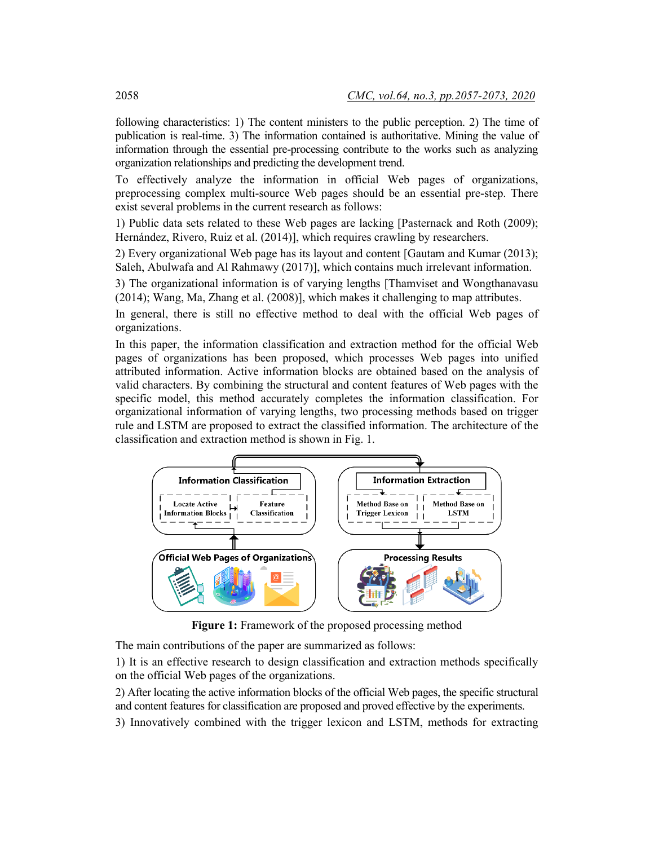following characteristics: 1) The content ministers to the public perception. 2) The time of publication is real-time. 3) The information contained is authoritative. Mining the value of information through the essential pre-processing contribute to the works such as analyzing organization relationships and predicting the development trend.

To effectively analyze the information in official Web pages of organizations, preprocessing complex multi-source Web pages should be an essential pre-step. There exist several problems in the current research as follows:

1) Public data sets related to these Web pages are lacking [Pasternack and Roth (2009); Hernández, Rivero, Ruiz et al. (2014)], which requires crawling by researchers.

2) Every organizational Web page has its layout and content [Gautam and Kumar (2013); Saleh, Abulwafa and Al Rahmawy (2017)], which contains much irrelevant information.

3) The organizational information is of varying lengths [Thamviset and Wongthanavasu (2014); Wang, Ma, Zhang et al. (2008)], which makes it challenging to map attributes.

In general, there is still no effective method to deal with the official Web pages of organizations.

In this paper, the information classification and extraction method for the official Web pages of organizations has been proposed, which processes Web pages into unified attributed information. Active information blocks are obtained based on the analysis of valid characters. By combining the structural and content features of Web pages with the specific model, this method accurately completes the information classification. For organizational information of varying lengths, two processing methods based on trigger rule and LSTM are proposed to extract the classified information. The architecture of the classification and extraction method is shown in Fig. 1.



**Figure 1:** Framework of the proposed processing method

The main contributions of the paper are summarized as follows:

1) It is an effective research to design classification and extraction methods specifically on the official Web pages of the organizations.

2) After locating the active information blocks of the official Web pages, the specific structural and content features for classification are proposed and proved effective by the experiments.

3) Innovatively combined with the trigger lexicon and LSTM, methods for extracting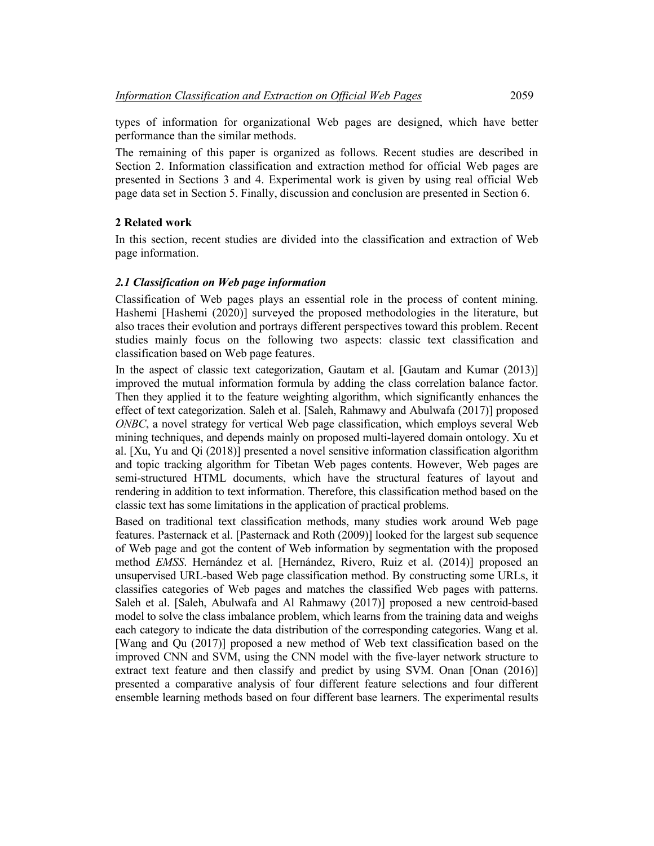types of information for organizational Web pages are designed, which have better performance than the similar methods.

The remaining of this paper is organized as follows. Recent studies are described in Section 2. Information classification and extraction method for official Web pages are presented in Sections 3 and 4. Experimental work is given by using real official Web page data set in Section 5. Finally, discussion and conclusion are presented in Section 6.

### **2 Related work**

In this section, recent studies are divided into the classification and extraction of Web page information.

### *2.1 Classification on Web page information*

Classification of Web pages plays an essential role in the process of content mining. Hashemi [Hashemi (2020)] surveyed the proposed methodologies in the literature, but also traces their evolution and portrays different perspectives toward this problem. Recent studies mainly focus on the following two aspects: classic text classification and classification based on Web page features.

In the aspect of classic text categorization, Gautam et al. [Gautam and Kumar (2013)] improved the mutual information formula by adding the class correlation balance factor. Then they applied it to the feature weighting algorithm, which significantly enhances the effect of text categorization. Saleh et al. [Saleh, Rahmawy and Abulwafa (2017)] proposed *ONBC*, a novel strategy for vertical Web page classification, which employs several Web mining techniques, and depends mainly on proposed multi-layered domain ontology. Xu et al. [Xu, Yu and Qi (2018)] presented a novel sensitive information classification algorithm and topic tracking algorithm for Tibetan Web pages contents. However, Web pages are semi-structured HTML documents, which have the structural features of layout and rendering in addition to text information. Therefore, this classification method based on the classic text has some limitations in the application of practical problems.

Based on traditional text classification methods, many studies work around Web page features. Pasternack et al. [Pasternack and Roth (2009)] looked for the largest sub sequence of Web page and got the content of Web information by segmentation with the proposed method *EMSS*. Hernández et al. [Hernández, Rivero, Ruiz et al. (2014)] proposed an unsupervised URL-based Web page classification method. By constructing some URLs, it classifies categories of Web pages and matches the classified Web pages with patterns. Saleh et al. [Saleh, Abulwafa and Al Rahmawy (2017)] proposed a new centroid-based model to solve the class imbalance problem, which learns from the training data and weighs each category to indicate the data distribution of the corresponding categories. Wang et al. [Wang and Qu (2017)] proposed a new method of Web text classification based on the improved CNN and SVM, using the CNN model with the five-layer network structure to extract text feature and then classify and predict by using SVM. Onan [Onan (2016)] presented a comparative analysis of four different feature selections and four different ensemble learning methods based on four different base learners. The experimental results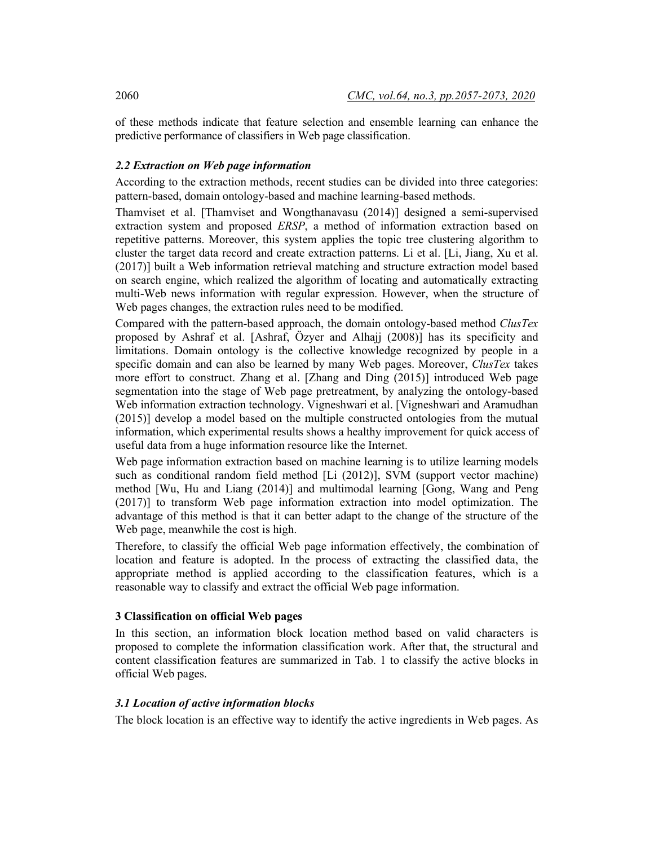of these methods indicate that feature selection and ensemble learning can enhance the predictive performance of classifiers in Web page classification.

### *2.2 Extraction on Web page information*

According to the extraction methods, recent studies can be divided into three categories: pattern-based, domain ontology-based and machine learning-based methods.

Thamviset et al. [Thamviset and Wongthanavasu (2014)] designed a semi-supervised extraction system and proposed *ERSP*, a method of information extraction based on repetitive patterns. Moreover, this system applies the topic tree clustering algorithm to cluster the target data record and create extraction patterns. Li et al. [Li, Jiang, Xu et al. (2017)] built a Web information retrieval matching and structure extraction model based on search engine, which realized the algorithm of locating and automatically extracting multi-Web news information with regular expression. However, when the structure of Web pages changes, the extraction rules need to be modified.

Compared with the pattern-based approach, the domain ontology-based method *ClusTex* proposed by Ashraf et al. [Ashraf, Özyer and Alhajj (2008)] has its specificity and limitations. Domain ontology is the collective knowledge recognized by people in a specific domain and can also be learned by many Web pages. Moreover, *ClusTex* takes more effort to construct. Zhang et al. [Zhang and Ding (2015)] introduced Web page segmentation into the stage of Web page pretreatment, by analyzing the ontology-based Web information extraction technology. Vigneshwari et al. [Vigneshwari and Aramudhan (2015)] develop a model based on the multiple constructed ontologies from the mutual information, which experimental results shows a healthy improvement for quick access of useful data from a huge information resource like the Internet.

Web page information extraction based on machine learning is to utilize learning models such as conditional random field method [Li (2012)], SVM (support vector machine) method [Wu, Hu and Liang (2014)] and multimodal learning [Gong, Wang and Peng (2017)] to transform Web page information extraction into model optimization. The advantage of this method is that it can better adapt to the change of the structure of the Web page, meanwhile the cost is high.

Therefore, to classify the official Web page information effectively, the combination of location and feature is adopted. In the process of extracting the classified data, the appropriate method is applied according to the classification features, which is a reasonable way to classify and extract the official Web page information.

### **3 Classification on official Web pages**

In this section, an information block location method based on valid characters is proposed to complete the information classification work. After that, the structural and content classification features are summarized in Tab. 1 to classify the active blocks in official Web pages.

### *3.1 Location of active information blocks*

The block location is an effective way to identify the active ingredients in Web pages. As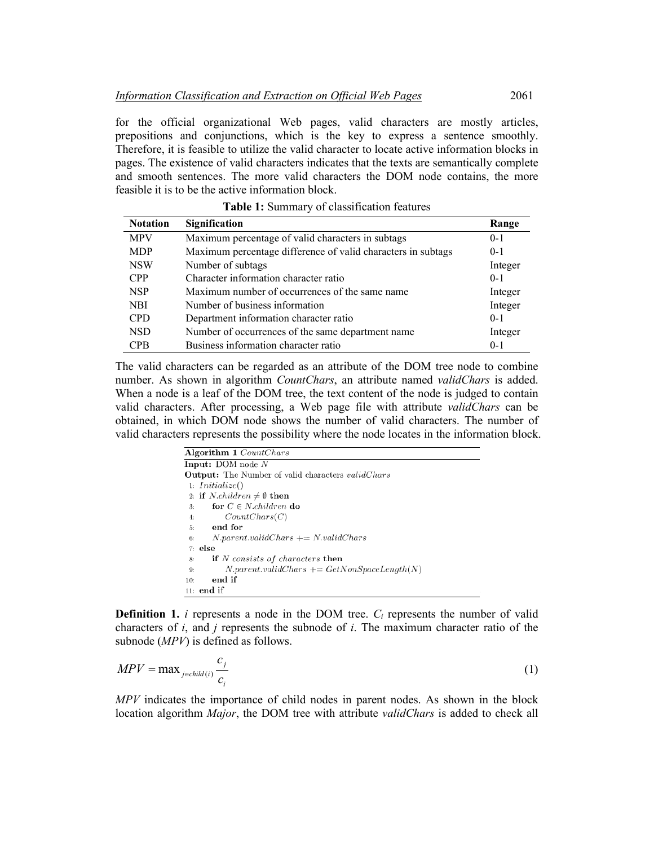for the official organizational Web pages, valid characters are mostly articles, prepositions and conjunctions, which is the key to express a sentence smoothly. Therefore, it is feasible to utilize the valid character to locate active information blocks in pages. The existence of valid characters indicates that the texts are semantically complete and smooth sentences. The more valid characters the DOM node contains, the more feasible it is to be the active information block.

| <b>Notation</b> | Signification                                                | Range   |
|-----------------|--------------------------------------------------------------|---------|
| <b>MPV</b>      | Maximum percentage of valid characters in subtags            | $0-1$   |
| <b>MDP</b>      | Maximum percentage difference of valid characters in subtags | $0 - 1$ |
| <b>NSW</b>      | Number of subtags                                            | Integer |
| <b>CPP</b>      | Character information character ratio                        | $0 - 1$ |
| <b>NSP</b>      | Maximum number of occurrences of the same name               | Integer |
| <b>NBI</b>      | Number of business information                               | Integer |
| <b>CPD</b>      | Department information character ratio                       | $0 - 1$ |
| <b>NSD</b>      | Number of occurrences of the same department name            | Integer |
| <b>CPB</b>      | Business information character ratio                         | $0-1$   |

**Table 1:** Summary of classification features

The valid characters can be regarded as an attribute of the DOM tree node to combine number. As shown in algorithm *CountChars*, an attribute named *validChars* is added. When a node is a leaf of the DOM tree, the text content of the node is judged to contain valid characters. After processing, a Web page file with attribute *validChars* can be obtained, in which DOM node shows the number of valid characters. The number of valid characters represents the possibility where the node locates in the information block.

**Definition 1.** *i* represents a node in the DOM tree.  $C_i$  represents the number of valid characters of *i*, and *j* represents the subnode of *i*. The maximum character ratio of the subnode (*MPV*) is defined as follows.

$$
MPV = \max_{j \in child(i)} \frac{c_j}{c_i} \tag{1}
$$

*MPV* indicates the importance of child nodes in parent nodes. As shown in the block location algorithm *Major*, the DOM tree with attribute *validChars* is added to check all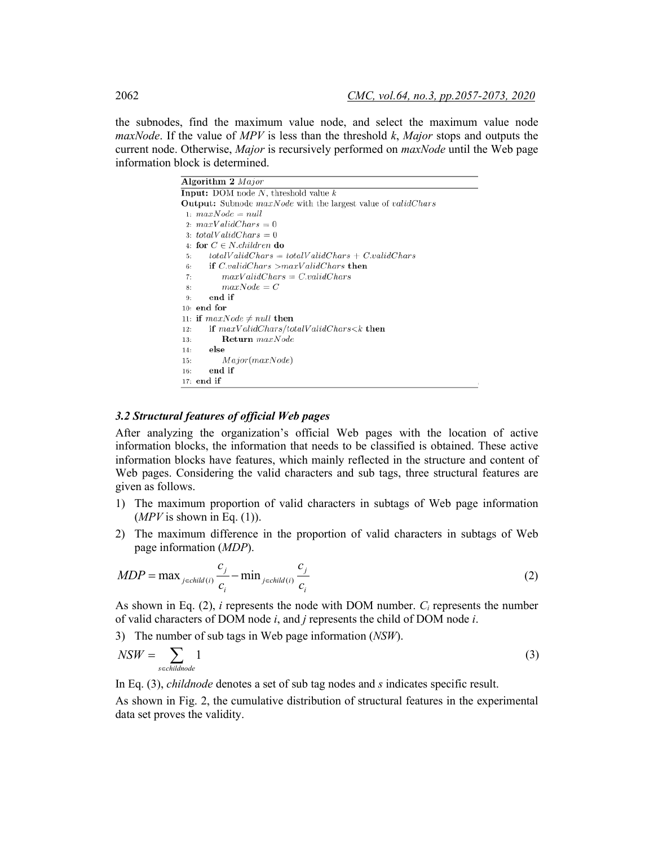the subnodes, find the maximum value node, and select the maximum value node *maxNode*. If the value of *MPV* is less than the threshold *k*, *Major* stops and outputs the current node. Otherwise, *Major* is recursively performed on *maxNode* until the Web page information block is determined.

| Algorithm $2$ <i>Major</i>                                                 |
|----------------------------------------------------------------------------|
| <b>Input:</b> DOM node $N$ , threshold value $k$                           |
| <b>Output:</b> Subnode maxNode with the largest value of <i>validChars</i> |
| 1: $maxNode = null$                                                        |
| 2. $maxValidChars = 0$                                                     |
| 3: totalValidChars = 0                                                     |
| 4. for $C \in N$ children do                                               |
| $totalValidChars = totalValidChars + C.validChars$<br>5:                   |
| if $C.validChars > maxValidChars$ then<br>6:                               |
| $maxValidChars = C.validChars$<br>7:                                       |
| $maxNode = C$<br>8:                                                        |
| end if<br>9:                                                               |
| $10:$ end for                                                              |
| 11: if $maxNode \neq null$ then                                            |
| if $maxValidChars/totalValidChars < k$ then<br>12:                         |
| $\textbf{Return } maxNode$<br>13:                                          |
| else<br>14:                                                                |
| Major(maxNode)<br>15:                                                      |
| end if<br>16:                                                              |
| $17:$ end if                                                               |
|                                                                            |

#### *3.2 Structural features of official Web pages*

After analyzing the organization's official Web pages with the location of active information blocks, the information that needs to be classified is obtained. These active information blocks have features, which mainly reflected in the structure and content of Web pages. Considering the valid characters and sub tags, three structural features are given as follows.

- 1) The maximum proportion of valid characters in subtags of Web page information  $(MPV$  is shown in Eq. (1)).
- 2) The maximum difference in the proportion of valid characters in subtags of Web page information (*MDP*).

$$
MDP = \max_{j \in child(i)} \frac{c_j}{c_i} - \min_{j \in child(i)} \frac{c_j}{c_i}
$$
 (2)

As shown in Eq.  $(2)$ , *i* represents the node with DOM number.  $C_i$  represents the number of valid characters of DOM node *i*, and *j* represents the child of DOM node *i*.

3) The number of sub tags in Web page information (*NSW*).

$$
NSW = \sum_{\text{sechildnode}} 1 \tag{3}
$$

In Eq. (3), *childnode* denotes a set of sub tag nodes and *s* indicates specific result.

As shown in Fig. 2, the cumulative distribution of structural features in the experimental data set proves the validity.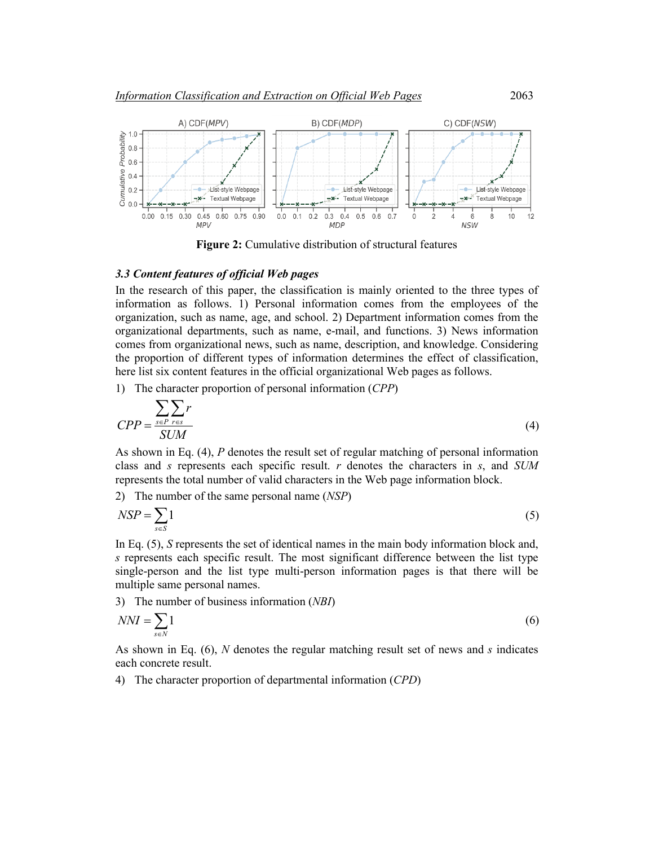

**Figure 2:** Cumulative distribution of structural features

#### *3.3 Content features of official Web pages*

In the research of this paper, the classification is mainly oriented to the three types of information as follows. 1) Personal information comes from the employees of the organization, such as name, age, and school. 2) Department information comes from the organizational departments, such as name, e-mail, and functions. 3) News information comes from organizational news, such as name, description, and knowledge. Considering the proportion of different types of information determines the effect of classification, here list six content features in the official organizational Web pages as follows.

1) The character proportion of personal information (*CPP*)

$$
CPP = \frac{\sum_{s \in P} \sum_{r \in s} r}{SUM}
$$
 (4)

As shown in Eq. (4), *P* denotes the result set of regular matching of personal information class and *s* represents each specific result. *r* denotes the characters in *s*, and *SUM* represents the total number of valid characters in the Web page information block.

2) The number of the same personal name (*NSP*)

$$
NSP = \sum_{s \in S} 1 \tag{5}
$$

In Eq. (5), *S* represents the set of identical names in the main body information block and, *s* represents each specific result. The most significant difference between the list type single-person and the list type multi-person information pages is that there will be multiple same personal names.

3) The number of business information (*NBI*)

$$
NNI = \sum_{s \in N} 1 \tag{6}
$$

As shown in Eq. (6), *N* denotes the regular matching result set of news and *s* indicates each concrete result.

4) The character proportion of departmental information (*CPD*)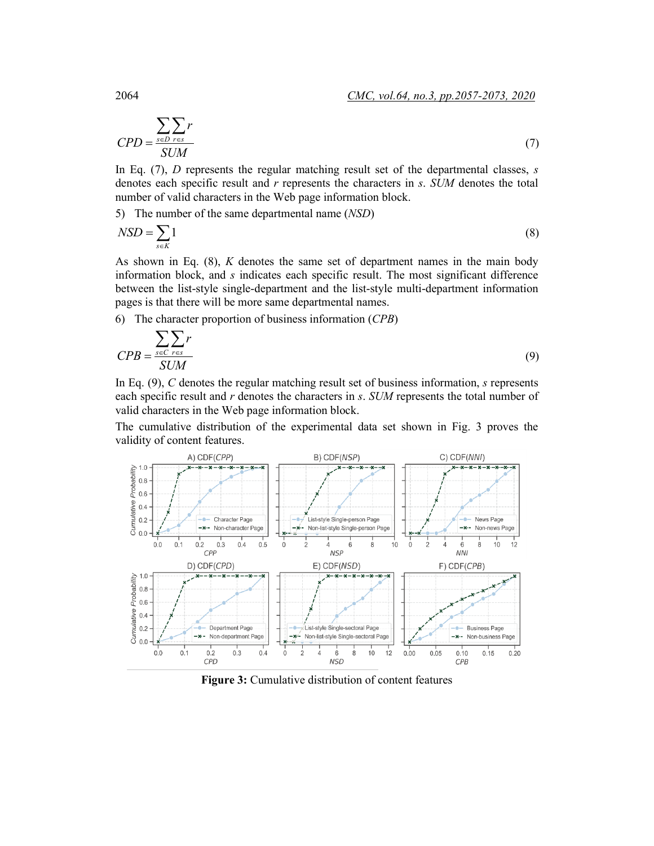$$
CPD = \frac{\sum_{s \in D} \sum_{r \in s} r}{SUM}
$$
 (7)

In Eq. (7), *D* represents the regular matching result set of the departmental classes, *s* denotes each specific result and *r* represents the characters in *s*. *SUM* denotes the total number of valid characters in the Web page information block.

5) The number of the same departmental name (*NSD*)

$$
NSD = \sum_{s \in K} 1\tag{8}
$$

As shown in Eq. (8), *K* denotes the same set of department names in the main body information block, and *s* indicates each specific result. The most significant difference between the list-style single-department and the list-style multi-department information pages is that there will be more same departmental names.

6) The character proportion of business information (*CPB*)

$$
CPB = \frac{\sum_{s \in C} \sum_{r \in s} r}{SUM}
$$
 (9)

In Eq. (9), *C* denotes the regular matching result set of business information, *s* represents each specific result and *r* denotes the characters in *s*. *SUM* represents the total number of valid characters in the Web page information block.

The cumulative distribution of the experimental data set shown in Fig. 3 proves the validity of content features.



Figure 3: Cumulative distribution of content features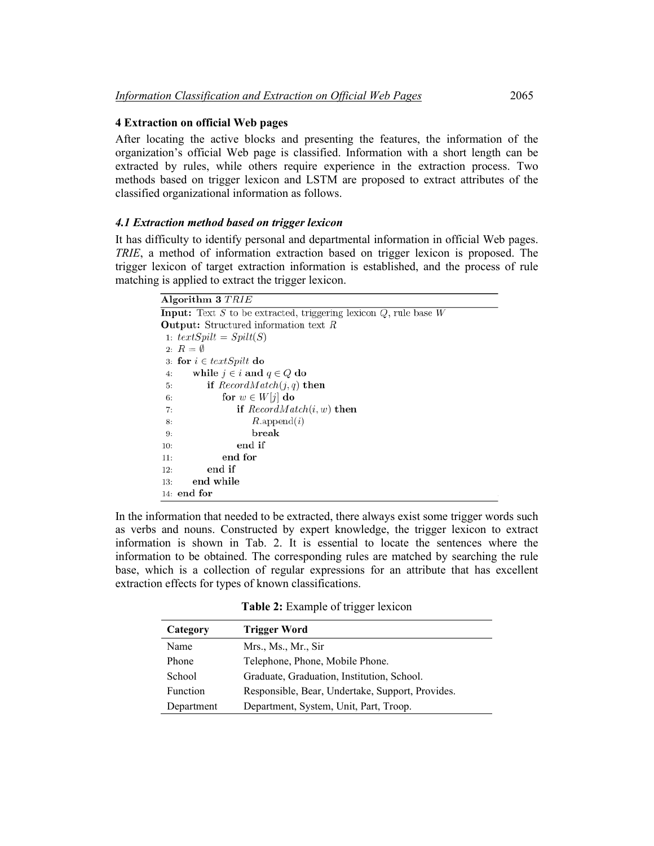### **4 Extraction on official Web pages**

After locating the active blocks and presenting the features, the information of the organization's official Web page is classified. Information with a short length can be extracted by rules, while others require experience in the extraction process. Two methods based on trigger lexicon and LSTM are proposed to extract attributes of the classified organizational information as follows.

### *4.1 Extraction method based on trigger lexicon*

It has difficulty to identify personal and departmental information in official Web pages. *TRIE*, a method of information extraction based on trigger lexicon is proposed. The trigger lexicon of target extraction information is established, and the process of rule matching is applied to extract the trigger lexicon.

#### Algorithm 3 TRIE

```
Input: Text S to be extracted, triggering lexicon Q, rule base W
Output: Structured information text R1: textSplit(S)2: R = \emptyset3: for i \in textSplit do
      while j \in i and q \in Q do
 4:if RecordMatch(j, q) then
 5:for w \in W[j] do
 6:
                if RecordMatch(i, w) then
 7:8:R.append(i)break
 9:end if
10:end for
11:12:end if
       end while
13:14: end for
```
In the information that needed to be extracted, there always exist some trigger words such as verbs and nouns. Constructed by expert knowledge, the trigger lexicon to extract information is shown in Tab. 2. It is essential to locate the sentences where the information to be obtained. The corresponding rules are matched by searching the rule base, which is a collection of regular expressions for an attribute that has excellent extraction effects for types of known classifications.

**Table 2:** Example of trigger lexicon

| Category   | <b>Trigger Word</b>                              |
|------------|--------------------------------------------------|
| Name       | Mrs., Ms., Mr., Sir                              |
| Phone      | Telephone, Phone, Mobile Phone.                  |
| School     | Graduate, Graduation, Institution, School.       |
| Function   | Responsible, Bear, Undertake, Support, Provides. |
| Department | Department, System, Unit, Part, Troop.           |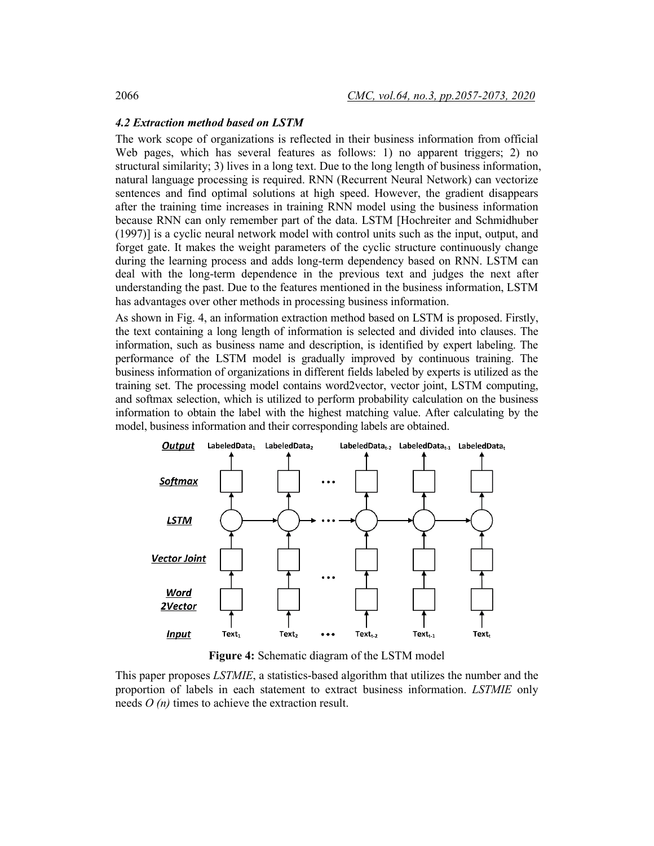#### *4.2 Extraction method based on LSTM*

The work scope of organizations is reflected in their business information from official Web pages, which has several features as follows: 1) no apparent triggers; 2) no structural similarity; 3) lives in a long text. Due to the long length of business information, natural language processing is required. RNN (Recurrent Neural Network) can vectorize sentences and find optimal solutions at high speed. However, the gradient disappears after the training time increases in training RNN model using the business information because RNN can only remember part of the data. LSTM [Hochreiter and Schmidhuber (1997)] is a cyclic neural network model with control units such as the input, output, and forget gate. It makes the weight parameters of the cyclic structure continuously change during the learning process and adds long-term dependency based on RNN. LSTM can deal with the long-term dependence in the previous text and judges the next after understanding the past. Due to the features mentioned in the business information, LSTM has advantages over other methods in processing business information.

As shown in Fig. 4, an information extraction method based on LSTM is proposed. Firstly, the text containing a long length of information is selected and divided into clauses. The information, such as business name and description, is identified by expert labeling. The performance of the LSTM model is gradually improved by continuous training. The business information of organizations in different fields labeled by experts is utilized as the training set. The processing model contains word2vector, vector joint, LSTM computing, and softmax selection, which is utilized to perform probability calculation on the business information to obtain the label with the highest matching value. After calculating by the model, business information and their corresponding labels are obtained.



**Figure 4:** Schematic diagram of the LSTM model

This paper proposes *LSTMIE*, a statistics-based algorithm that utilizes the number and the proportion of labels in each statement to extract business information. *LSTMIE* only needs *O (n)* times to achieve the extraction result.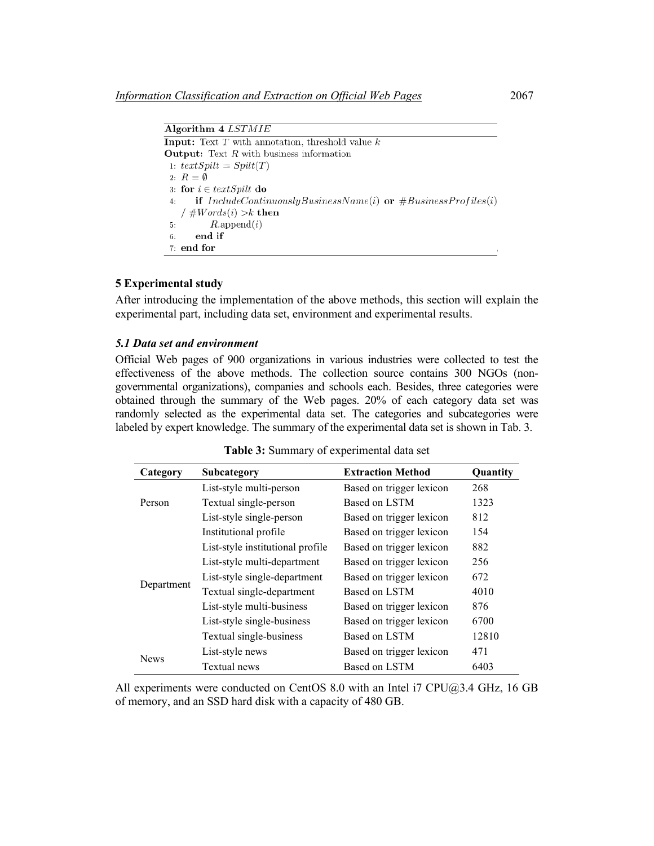| Algorithm 4 <i>LSTMIE</i>                                                      |
|--------------------------------------------------------------------------------|
| <b>Input:</b> Text T with annotation, threshold value $k$                      |
| <b>Output:</b> Text $R$ with business information                              |
| 1: $textSplit = Split(T)$                                                      |
| 2: $R = \emptyset$                                                             |
| 3: for $i \in textSplit$ do                                                    |
| <b>if</b> $IndudeContinuously BusinessName(i)$ or $#BusinessProfiles(i)$<br>4: |
| / $#Words(i) > k$ then                                                         |
| 5: $R.\text{append}(i)$                                                        |
| end if<br>6:                                                                   |
| $7:$ end for                                                                   |

### **5 Experimental study**

After introducing the implementation of the above methods, this section will explain the experimental part, including data set, environment and experimental results.

### *5.1 Data set and environment*

Official Web pages of 900 organizations in various industries were collected to test the effectiveness of the above methods. The collection source contains 300 NGOs (nongovernmental organizations), companies and schools each. Besides, three categories were obtained through the summary of the Web pages. 20% of each category data set was randomly selected as the experimental data set. The categories and subcategories were labeled by expert knowledge. The summary of the experimental data set is shown in Tab. 3.

| Category    | Subcategory                      | <b>Extraction Method</b> | Quantity |
|-------------|----------------------------------|--------------------------|----------|
|             | List-style multi-person          | Based on trigger lexicon | 268      |
| Person      | Textual single-person            | Based on LSTM            | 1323     |
|             | List-style single-person         | Based on trigger lexicon | 812      |
| Department  | Institutional profile            | Based on trigger lexicon | 154      |
|             | List-style institutional profile | Based on trigger lexicon | 882      |
|             | List-style multi-department      | Based on trigger lexicon | 256      |
|             | List-style single-department     | Based on trigger lexicon | 672      |
|             | Textual single-department        | Based on LSTM            | 4010     |
|             | List-style multi-business        | Based on trigger lexicon | 876      |
|             | List-style single-business       | Based on trigger lexicon | 6700     |
|             | Textual single-business          | Based on LSTM            | 12810    |
|             | List-style news                  | Based on trigger lexicon | 471      |
| <b>News</b> | Textual news                     | Based on LSTM            | 6403     |

**Table 3:** Summary of experimental data set

All experiments were conducted on CentOS 8.0 with an Intel i7 CPU@3.4 GHz, 16 GB of memory, and an SSD hard disk with a capacity of 480 GB.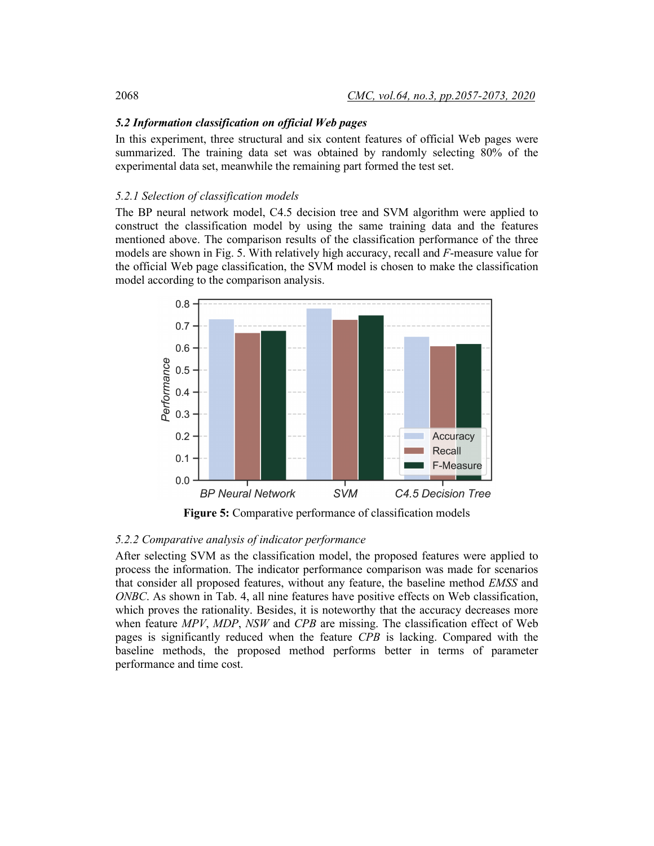### *5.2 Information classification on official Web pages*

In this experiment, three structural and six content features of official Web pages were summarized. The training data set was obtained by randomly selecting 80% of the experimental data set, meanwhile the remaining part formed the test set.

### *5.2.1 Selection of classification models*

The BP neural network model, C4.5 decision tree and SVM algorithm were applied to construct the classification model by using the same training data and the features mentioned above. The comparison results of the classification performance of the three models are shown in Fig. 5. With relatively high accuracy, recall and *F*-measure value for the official Web page classification, the SVM model is chosen to make the classification model according to the comparison analysis.



**Figure 5:** Comparative performance of classification models

### *5.2.2 Comparative analysis of indicator performance*

After selecting SVM as the classification model, the proposed features were applied to process the information. The indicator performance comparison was made for scenarios that consider all proposed features, without any feature, the baseline method *EMSS* and *ONBC*. As shown in Tab. 4, all nine features have positive effects on Web classification, which proves the rationality. Besides, it is noteworthy that the accuracy decreases more when feature *MPV*, *MDP*, *NSW* and *CPB* are missing. The classification effect of Web pages is significantly reduced when the feature *CPB* is lacking. Compared with the baseline methods, the proposed method performs better in terms of parameter performance and time cost.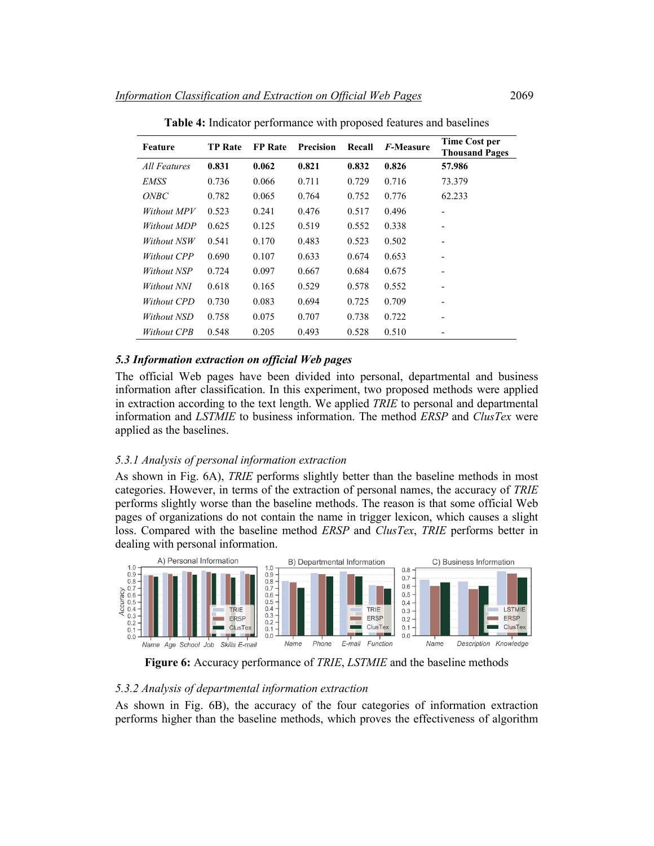| Feature            | <b>TP</b> Rate | <b>FP</b> Rate | <b>Precision</b> | Recall | <i>F</i> -Measure | <b>Time Cost per</b><br><b>Thousand Pages</b> |
|--------------------|----------------|----------------|------------------|--------|-------------------|-----------------------------------------------|
| All Features       | 0.831          | 0.062          | 0.821            | 0.832  | 0.826             | 57.986                                        |
| EMSS               | 0.736          | 0.066          | 0.711            | 0.729  | 0.716             | 73.379                                        |
| <i>ONBC</i>        | 0.782          | 0.065          | 0.764            | 0.752  | 0.776             | 62.233                                        |
| Without MPV        | 0.523          | 0.241          | 0.476            | 0.517  | 0.496             | $\overline{\phantom{0}}$                      |
| Without MDP        | 0.625          | 0.125          | 0.519            | 0.552  | 0.338             | -                                             |
| Without NSW        | 0.541          | 0.170          | 0.483            | 0.523  | 0.502             | -                                             |
| Without CPP        | 0.690          | 0.107          | 0.633            | 0.674  | 0.653             | -                                             |
| <i>Without NSP</i> | 0.724          | 0.097          | 0.667            | 0.684  | 0.675             | $\overline{\phantom{0}}$                      |
| Without NNI        | 0.618          | 0.165          | 0.529            | 0.578  | 0.552             | -                                             |
| Without CPD        | 0.730          | 0.083          | 0.694            | 0.725  | 0.709             | $\overline{\phantom{0}}$                      |
| Without NSD        | 0.758          | 0.075          | 0.707            | 0.738  | 0.722             | -                                             |
| <i>Without CPB</i> | 0.548          | 0.205          | 0.493            | 0.528  | 0.510             | $\overline{\phantom{0}}$                      |

**Table 4:** Indicator performance with proposed features and baselines

### *5.3 Information extraction on official Web pages*

The official Web pages have been divided into personal, departmental and business information after classification. In this experiment, two proposed methods were applied in extraction according to the text length. We applied *TRIE* to personal and departmental information and *LSTMIE* to business information. The method *ERSP* and *ClusTex* were applied as the baselines.

#### *5.3.1 Analysis of personal information extraction*

As shown in Fig. 6A), *TRIE* performs slightly better than the baseline methods in most categories. However, in terms of the extraction of personal names, the accuracy of *TRIE* performs slightly worse than the baseline methods. The reason is that some official Web pages of organizations do not contain the name in trigger lexicon, which causes a slight loss. Compared with the baseline method *ERSP* and *ClusTex*, *TRIE* performs better in dealing with personal information.



**Figure 6:** Accuracy performance of *TRIE*, *LSTMIE* and the baseline methods

#### *5.3.2 Analysis of departmental information extraction*

As shown in Fig. 6B), the accuracy of the four categories of information extraction performs higher than the baseline methods, which proves the effectiveness of algorithm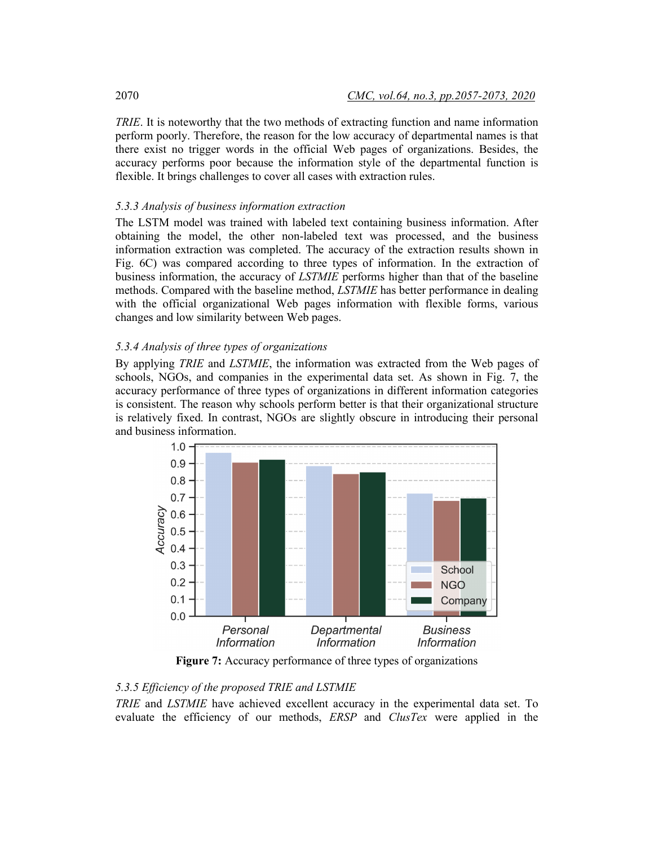*TRIE*. It is noteworthy that the two methods of extracting function and name information perform poorly. Therefore, the reason for the low accuracy of departmental names is that there exist no trigger words in the official Web pages of organizations. Besides, the accuracy performs poor because the information style of the departmental function is flexible. It brings challenges to cover all cases with extraction rules.

## *5.3.3 Analysis of business information extraction*

The LSTM model was trained with labeled text containing business information. After obtaining the model, the other non-labeled text was processed, and the business information extraction was completed. The accuracy of the extraction results shown in Fig. 6C) was compared according to three types of information. In the extraction of business information, the accuracy of *LSTMIE* performs higher than that of the baseline methods. Compared with the baseline method, *LSTMIE* has better performance in dealing with the official organizational Web pages information with flexible forms, various changes and low similarity between Web pages.

### *5.3.4 Analysis of three types of organizations*

By applying *TRIE* and *LSTMIE*, the information was extracted from the Web pages of schools, NGOs, and companies in the experimental data set. As shown in Fig. 7, the accuracy performance of three types of organizations in different information categories is consistent. The reason why schools perform better is that their organizational structure is relatively fixed. In contrast, NGOs are slightly obscure in introducing their personal and business information.



**Figure 7:** Accuracy performance of three types of organizations

# *5.3.5 Efficiency of the proposed TRIE and LSTMIE*

*TRIE* and *LSTMIE* have achieved excellent accuracy in the experimental data set. To evaluate the efficiency of our methods, *ERSP* and *ClusTex* were applied in the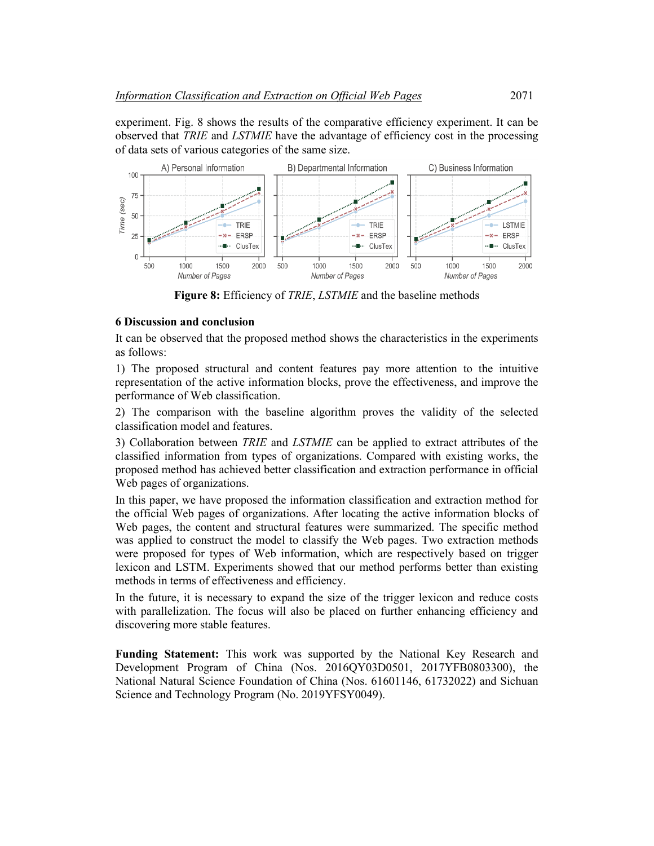experiment. Fig. 8 shows the results of the comparative efficiency experiment. It can be observed that *TRIE* and *LSTMIE* have the advantage of efficiency cost in the processing of data sets of various categories of the same size.



**Figure 8:** Efficiency of *TRIE*, *LSTMIE* and the baseline methods

### **6 Discussion and conclusion**

It can be observed that the proposed method shows the characteristics in the experiments as follows:

1) The proposed structural and content features pay more attention to the intuitive representation of the active information blocks, prove the effectiveness, and improve the performance of Web classification.

2) The comparison with the baseline algorithm proves the validity of the selected classification model and features.

3) Collaboration between *TRIE* and *LSTMIE* can be applied to extract attributes of the classified information from types of organizations. Compared with existing works, the proposed method has achieved better classification and extraction performance in official Web pages of organizations.

In this paper, we have proposed the information classification and extraction method for the official Web pages of organizations. After locating the active information blocks of Web pages, the content and structural features were summarized. The specific method was applied to construct the model to classify the Web pages. Two extraction methods were proposed for types of Web information, which are respectively based on trigger lexicon and LSTM. Experiments showed that our method performs better than existing methods in terms of effectiveness and efficiency.

In the future, it is necessary to expand the size of the trigger lexicon and reduce costs with parallelization. The focus will also be placed on further enhancing efficiency and discovering more stable features.

**Funding Statement:** This work was supported by the National Key Research and Development Program of China (Nos. 2016QY03D0501, 2017YFB0803300), the National Natural Science Foundation of China (Nos. 61601146, 61732022) and Sichuan Science and Technology Program (No. 2019YFSY0049).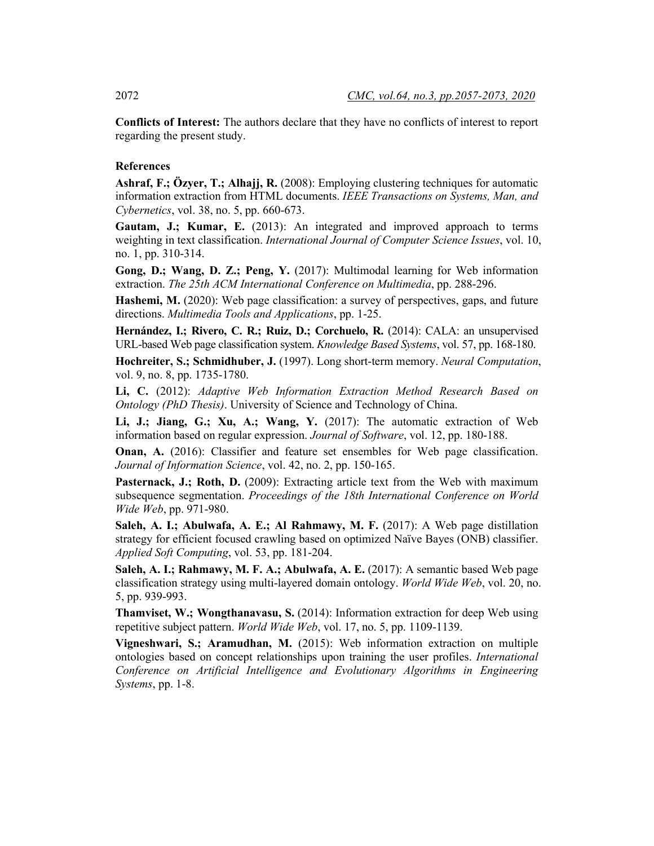**Conflicts of Interest:** The authors declare that they have no conflicts of interest to report regarding the present study.

### **References**

**Ashraf, F.; Özyer, T.; Alhajj, R.** (2008): Employing clustering techniques for automatic information extraction from HTML documents. *IEEE Transactions on Systems, Man, and Cybernetics*, vol. 38, no. 5, pp. 660-673.

**Gautam, J.; Kumar, E.** (2013): An integrated and improved approach to terms weighting in text classification. *International Journal of Computer Science Issues*, vol. 10, no. 1, pp. 310-314.

**Gong, D.; Wang, D. Z.; Peng, Y.** (2017): Multimodal learning for Web information extraction. *The 25th ACM International Conference on Multimedia*, pp. 288-296.

**Hashemi, M.** (2020): Web page classification: a survey of perspectives, gaps, and future directions. *Multimedia Tools and Applications*, pp. 1-25.

**Hernández, I.; Rivero, C. R.; Ruiz, D.; Corchuelo, R.** (2014): CALA: an unsupervised URL-based Web page classification system. *Knowledge Based Systems*, vol. 57, pp. 168-180.

**Hochreiter, S.; Schmidhuber, J.** (1997). Long short-term memory. *Neural Computation*, vol. 9, no. 8, pp. 1735-1780.

**Li, C.** (2012): *Adaptive Web Information Extraction Method Research Based on Ontology (PhD Thesis)*. University of Science and Technology of China.

**Li, J.; Jiang, G.; Xu, A.; Wang, Y.** (2017): The automatic extraction of Web information based on regular expression. *Journal of Software*, vol. 12, pp. 180-188.

**Onan, A.** (2016): Classifier and feature set ensembles for Web page classification. *Journal of Information Science*, vol. 42, no. 2, pp. 150-165.

**Pasternack, J.; Roth, D.** (2009): Extracting article text from the Web with maximum subsequence segmentation. *Proceedings of the 18th International Conference on World Wide Web*, pp. 971-980.

**Saleh, A. I.; Abulwafa, A. E.; Al Rahmawy, M. F.** (2017): A Web page distillation strategy for efficient focused crawling based on optimized Naïve Bayes (ONB) classifier. *Applied Soft Computing*, vol. 53, pp. 181-204.

**Saleh, A. I.; Rahmawy, M. F. A.; Abulwafa, A. E.** (2017): A semantic based Web page classification strategy using multi-layered domain ontology. *World Wide Web*, vol. 20, no. 5, pp. 939-993.

**Thamviset, W.; Wongthanavasu, S.** (2014): Information extraction for deep Web using repetitive subject pattern. *World Wide Web*, vol. 17, no. 5, pp. 1109-1139.

**Vigneshwari, S.; Aramudhan, M.** (2015): Web information extraction on multiple ontologies based on concept relationships upon training the user profiles. *International Conference on Artificial Intelligence and Evolutionary Algorithms in Engineering Systems*, pp. 1-8.